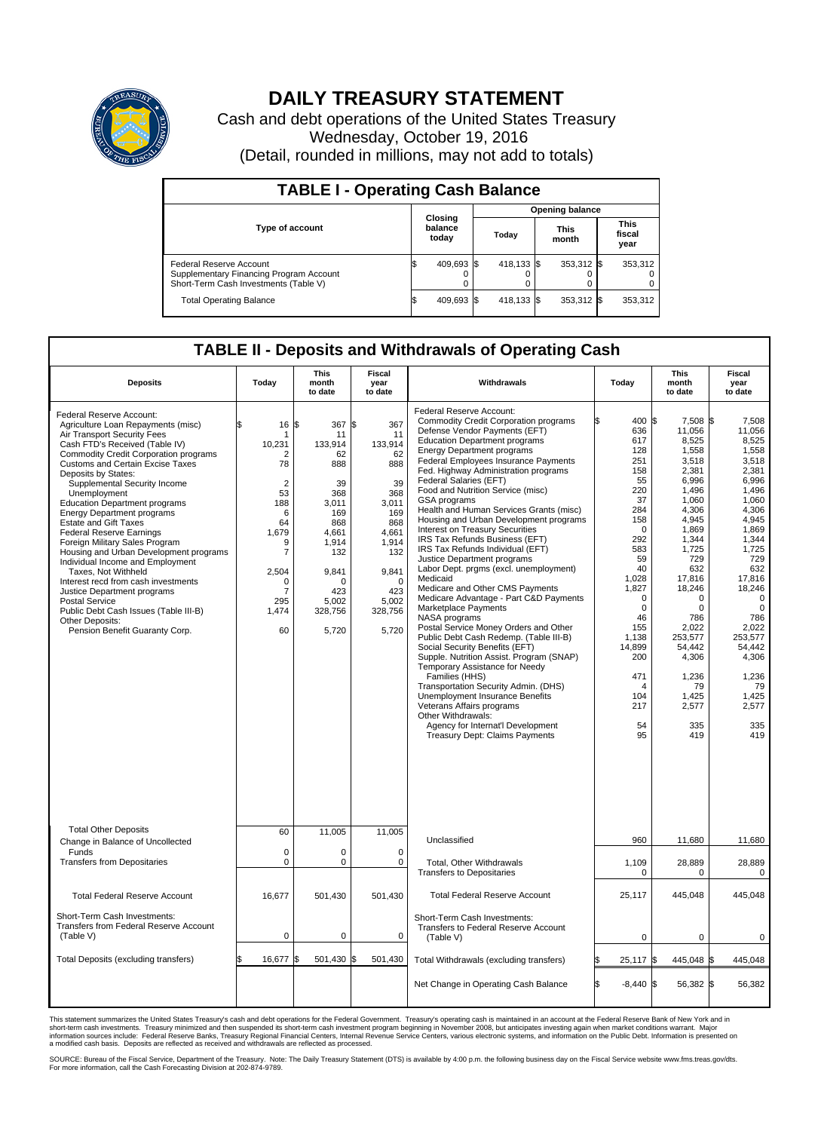

## **DAILY TREASURY STATEMENT**

Cash and debt operations of the United States Treasury Wednesday, October 19, 2016 (Detail, rounded in millions, may not add to totals)

| <b>TABLE I - Operating Cash Balance</b>                                                                     |                             |            |       |                        |                      |            |                               |         |  |  |  |
|-------------------------------------------------------------------------------------------------------------|-----------------------------|------------|-------|------------------------|----------------------|------------|-------------------------------|---------|--|--|--|
|                                                                                                             |                             |            |       | <b>Opening balance</b> |                      |            |                               |         |  |  |  |
| <b>Type of account</b>                                                                                      | Closing<br>balance<br>today |            | Today |                        | <b>This</b><br>month |            | <b>This</b><br>fiscal<br>year |         |  |  |  |
| Federal Reserve Account<br>Supplementary Financing Program Account<br>Short-Term Cash Investments (Table V) |                             | 409,693 \$ |       | 418.133 \$             |                      | 353,312 \$ |                               | 353,312 |  |  |  |
| <b>Total Operating Balance</b>                                                                              | IЭ                          | 409,693 \$ |       | 418,133 \$             |                      | 353,312 \$ |                               | 353,312 |  |  |  |

## **TABLE II - Deposits and Withdrawals of Operating Cash**

| <b>Deposits</b>                                                                                                                                                                                                                                                                                                                                                                                                                                                                                                                                                                                                                                                                                                                                                                | Today                                                                                                                                                                     | <b>This</b><br>month<br>to date                                                                                                                               | <b>Fiscal</b><br>year<br>to date                                                                                                                              | Withdrawals                                                                                                                                                                                                                                                                                                                                                                                                                                                                                                                                                                                                                                                                                                                                                                                                                                                                                                                                                                                                                                                                                                                                                                                            | Today                                                                                                                                                                                                                                                      | <b>This</b><br>month<br>to date                                                                                                                                                                                                                                                          | Fiscal<br>year<br>to date                                                                                                                                                                                                                                                             |
|--------------------------------------------------------------------------------------------------------------------------------------------------------------------------------------------------------------------------------------------------------------------------------------------------------------------------------------------------------------------------------------------------------------------------------------------------------------------------------------------------------------------------------------------------------------------------------------------------------------------------------------------------------------------------------------------------------------------------------------------------------------------------------|---------------------------------------------------------------------------------------------------------------------------------------------------------------------------|---------------------------------------------------------------------------------------------------------------------------------------------------------------|---------------------------------------------------------------------------------------------------------------------------------------------------------------|--------------------------------------------------------------------------------------------------------------------------------------------------------------------------------------------------------------------------------------------------------------------------------------------------------------------------------------------------------------------------------------------------------------------------------------------------------------------------------------------------------------------------------------------------------------------------------------------------------------------------------------------------------------------------------------------------------------------------------------------------------------------------------------------------------------------------------------------------------------------------------------------------------------------------------------------------------------------------------------------------------------------------------------------------------------------------------------------------------------------------------------------------------------------------------------------------------|------------------------------------------------------------------------------------------------------------------------------------------------------------------------------------------------------------------------------------------------------------|------------------------------------------------------------------------------------------------------------------------------------------------------------------------------------------------------------------------------------------------------------------------------------------|---------------------------------------------------------------------------------------------------------------------------------------------------------------------------------------------------------------------------------------------------------------------------------------|
| Federal Reserve Account:<br>Agriculture Loan Repayments (misc)<br>Air Transport Security Fees<br>Cash FTD's Received (Table IV)<br>Commodity Credit Corporation programs<br><b>Customs and Certain Excise Taxes</b><br>Deposits by States:<br>Supplemental Security Income<br>Unemployment<br><b>Education Department programs</b><br><b>Energy Department programs</b><br><b>Estate and Gift Taxes</b><br><b>Federal Reserve Earnings</b><br>Foreign Military Sales Program<br>Housing and Urban Development programs<br>Individual Income and Employment<br>Taxes, Not Withheld<br>Interest recd from cash investments<br>Justice Department programs<br><b>Postal Service</b><br>Public Debt Cash Issues (Table III-B)<br>Other Deposits:<br>Pension Benefit Guaranty Corp. | 16<br>\$<br>1<br>10,231<br>2<br>78<br>$\overline{2}$<br>53<br>188<br>6<br>64<br>1,679<br>9<br>$\overline{7}$<br>2,504<br>$\Omega$<br>$\overline{7}$<br>295<br>1,474<br>60 | \$<br>367<br>11<br>133,914<br>62<br>888<br>39<br>368<br>3,011<br>169<br>868<br>4,661<br>1,914<br>132<br>9,841<br>$\Omega$<br>423<br>5,002<br>328,756<br>5,720 | \$<br>367<br>11<br>133,914<br>62<br>888<br>39<br>368<br>3,011<br>169<br>868<br>4,661<br>1,914<br>132<br>9,841<br>$\Omega$<br>423<br>5,002<br>328,756<br>5,720 | Federal Reserve Account:<br><b>Commodity Credit Corporation programs</b><br>Defense Vendor Payments (EFT)<br><b>Education Department programs</b><br><b>Energy Department programs</b><br><b>Federal Employees Insurance Payments</b><br>Fed. Highway Administration programs<br>Federal Salaries (EFT)<br>Food and Nutrition Service (misc)<br>GSA programs<br>Health and Human Services Grants (misc)<br>Housing and Urban Development programs<br>Interest on Treasury Securities<br>IRS Tax Refunds Business (EFT)<br>IRS Tax Refunds Individual (EFT)<br>Justice Department programs<br>Labor Dept. prgms (excl. unemployment)<br>Medicaid<br>Medicare and Other CMS Payments<br>Medicare Advantage - Part C&D Payments<br>Marketplace Payments<br>NASA programs<br>Postal Service Money Orders and Other<br>Public Debt Cash Redemp. (Table III-B)<br>Social Security Benefits (EFT)<br>Supple. Nutrition Assist. Program (SNAP)<br>Temporary Assistance for Needy<br>Families (HHS)<br>Transportation Security Admin. (DHS)<br>Unemployment Insurance Benefits<br>Veterans Affairs programs<br>Other Withdrawals:<br>Agency for Internat'l Development<br><b>Treasury Dept: Claims Payments</b> | 400 \$<br>636<br>617<br>128<br>251<br>158<br>55<br>220<br>37<br>284<br>158<br>$\Omega$<br>292<br>583<br>59<br>40<br>1,028<br>1,827<br>$\mathbf 0$<br>$\mathbf 0$<br>46<br>155<br>1,138<br>14,899<br>200<br>471<br>$\overline{4}$<br>104<br>217<br>54<br>95 | 7,508 \$<br>11,056<br>8,525<br>1,558<br>3.518<br>2,381<br>6,996<br>1,496<br>1.060<br>4,306<br>4,945<br>1,869<br>1,344<br>1,725<br>729<br>632<br>17,816<br>18,246<br>$\Omega$<br>$\mathbf 0$<br>786<br>2,022<br>253,577<br>54,442<br>4,306<br>1,236<br>79<br>1,425<br>2,577<br>335<br>419 | 7.508<br>11,056<br>8,525<br>1,558<br>3.518<br>2,381<br>6,996<br>1,496<br>1.060<br>4,306<br>4,945<br>1,869<br>1,344<br>1,725<br>729<br>632<br>17,816<br>18,246<br>$\Omega$<br>$\mathbf 0$<br>786<br>2,022<br>253,577<br>54,442<br>4,306<br>1,236<br>79<br>1,425<br>2,577<br>335<br>419 |
| <b>Total Other Deposits</b><br>Change in Balance of Uncollected                                                                                                                                                                                                                                                                                                                                                                                                                                                                                                                                                                                                                                                                                                                | 60                                                                                                                                                                        | 11,005                                                                                                                                                        | 11,005                                                                                                                                                        | Unclassified                                                                                                                                                                                                                                                                                                                                                                                                                                                                                                                                                                                                                                                                                                                                                                                                                                                                                                                                                                                                                                                                                                                                                                                           | 960                                                                                                                                                                                                                                                        | 11,680                                                                                                                                                                                                                                                                                   | 11,680                                                                                                                                                                                                                                                                                |
| Funds<br><b>Transfers from Depositaries</b>                                                                                                                                                                                                                                                                                                                                                                                                                                                                                                                                                                                                                                                                                                                                    | $\mathbf 0$<br>$\mathbf 0$                                                                                                                                                | 0<br>0                                                                                                                                                        | $\mathbf 0$<br>$\Omega$                                                                                                                                       | Total, Other Withdrawals<br><b>Transfers to Depositaries</b>                                                                                                                                                                                                                                                                                                                                                                                                                                                                                                                                                                                                                                                                                                                                                                                                                                                                                                                                                                                                                                                                                                                                           | 1,109<br>$\Omega$                                                                                                                                                                                                                                          | 28,889<br>$\Omega$                                                                                                                                                                                                                                                                       | 28,889<br>$\Omega$                                                                                                                                                                                                                                                                    |
| <b>Total Federal Reserve Account</b>                                                                                                                                                                                                                                                                                                                                                                                                                                                                                                                                                                                                                                                                                                                                           | 16.677                                                                                                                                                                    | 501.430                                                                                                                                                       | 501.430                                                                                                                                                       | <b>Total Federal Reserve Account</b>                                                                                                                                                                                                                                                                                                                                                                                                                                                                                                                                                                                                                                                                                                                                                                                                                                                                                                                                                                                                                                                                                                                                                                   | 25,117                                                                                                                                                                                                                                                     | 445,048                                                                                                                                                                                                                                                                                  | 445,048                                                                                                                                                                                                                                                                               |
| Short-Term Cash Investments:<br><b>Transfers from Federal Reserve Account</b><br>(Table V)                                                                                                                                                                                                                                                                                                                                                                                                                                                                                                                                                                                                                                                                                     | $\pmb{0}$                                                                                                                                                                 | 0                                                                                                                                                             | 0                                                                                                                                                             | Short-Term Cash Investments:<br>Transfers to Federal Reserve Account<br>(Table V)                                                                                                                                                                                                                                                                                                                                                                                                                                                                                                                                                                                                                                                                                                                                                                                                                                                                                                                                                                                                                                                                                                                      | $\mathbf 0$                                                                                                                                                                                                                                                | 0                                                                                                                                                                                                                                                                                        | 0                                                                                                                                                                                                                                                                                     |
| Total Deposits (excluding transfers)                                                                                                                                                                                                                                                                                                                                                                                                                                                                                                                                                                                                                                                                                                                                           | 16,677                                                                                                                                                                    | 501,430<br>\$                                                                                                                                                 | 501,430<br>\$                                                                                                                                                 | Total Withdrawals (excluding transfers)                                                                                                                                                                                                                                                                                                                                                                                                                                                                                                                                                                                                                                                                                                                                                                                                                                                                                                                                                                                                                                                                                                                                                                | \$<br>$25,117$ \$                                                                                                                                                                                                                                          | 445,048 \$                                                                                                                                                                                                                                                                               | 445,048                                                                                                                                                                                                                                                                               |
|                                                                                                                                                                                                                                                                                                                                                                                                                                                                                                                                                                                                                                                                                                                                                                                |                                                                                                                                                                           |                                                                                                                                                               |                                                                                                                                                               | Net Change in Operating Cash Balance                                                                                                                                                                                                                                                                                                                                                                                                                                                                                                                                                                                                                                                                                                                                                                                                                                                                                                                                                                                                                                                                                                                                                                   | Ŝ.<br>$-8.440$ \$                                                                                                                                                                                                                                          | 56,382 \$                                                                                                                                                                                                                                                                                | 56,382                                                                                                                                                                                                                                                                                |

This statement summarizes the United States Treasury's cash and debt operations for the Federal Government. Treasury's operating cash is maintained in an account at the Federal Reserve Bank of New York and in<br>short-term ca

SOURCE: Bureau of the Fiscal Service, Department of the Treasury. Note: The Daily Treasury Statement (DTS) is available by 4:00 p.m. the following business day on the Fiscal Service website www.fms.treas.gov/dts.<br>For more